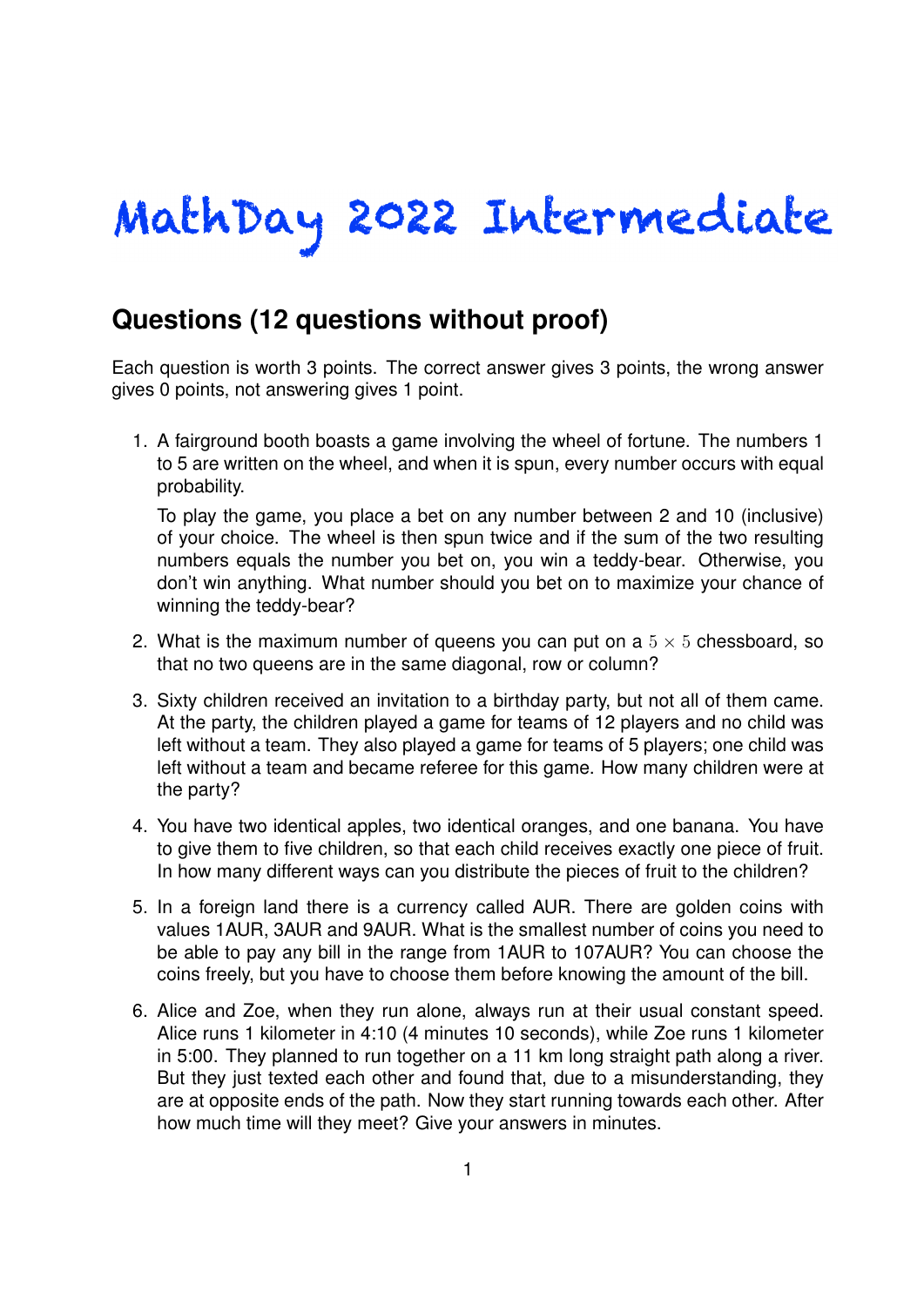## MathDay 2022 Intermediate

## **Questions (12 questions without proof)**

Each question is worth 3 points. The correct answer gives 3 points, the wrong answer gives 0 points, not answering gives 1 point.

1. A fairground booth boasts a game involving the wheel of fortune. The numbers 1 to 5 are written on the wheel, and when it is spun, every number occurs with equal probability.

To play the game, you place a bet on any number between 2 and 10 (inclusive) of your choice. The wheel is then spun twice and if the sum of the two resulting numbers equals the number you bet on, you win a teddy-bear. Otherwise, you don't win anything. What number should you bet on to maximize your chance of winning the teddy-bear?

- 2. What is the maximum number of queens you can put on a  $5 \times 5$  chessboard, so that no two queens are in the same diagonal, row or column?
- 3. Sixty children received an invitation to a birthday party, but not all of them came. At the party, the children played a game for teams of 12 players and no child was left without a team. They also played a game for teams of 5 players; one child was left without a team and became referee for this game. How many children were at the party?
- 4. You have two identical apples, two identical oranges, and one banana. You have to give them to five children, so that each child receives exactly one piece of fruit. In how many different ways can you distribute the pieces of fruit to the children?
- 5. In a foreign land there is a currency called AUR. There are golden coins with values 1AUR, 3AUR and 9AUR. What is the smallest number of coins you need to be able to pay any bill in the range from 1AUR to 107AUR? You can choose the coins freely, but you have to choose them before knowing the amount of the bill.
- 6. Alice and Zoe, when they run alone, always run at their usual constant speed. Alice runs 1 kilometer in 4:10 (4 minutes 10 seconds), while Zoe runs 1 kilometer in 5:00. They planned to run together on a 11 km long straight path along a river. But they just texted each other and found that, due to a misunderstanding, they are at opposite ends of the path. Now they start running towards each other. After how much time will they meet? Give your answers in minutes.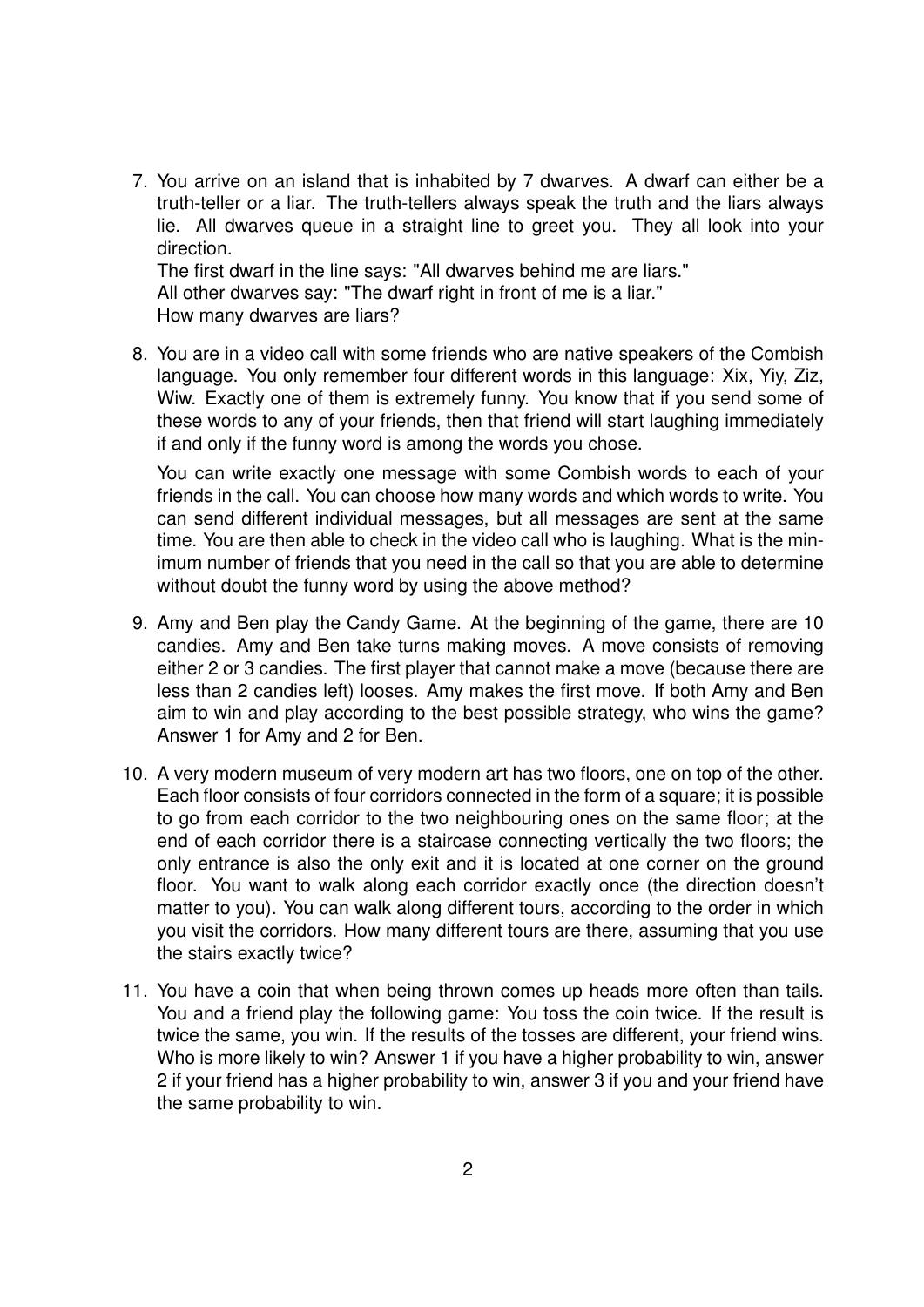7. You arrive on an island that is inhabited by 7 dwarves. A dwarf can either be a truth-teller or a liar. The truth-tellers always speak the truth and the liars always lie. All dwarves queue in a straight line to greet you. They all look into your direction. The first dwarf in the line says: "All dwarves behind me are liars."

All other dwarves say: "The dwarf right in front of me is a liar." How many dwarves are liars?

8. You are in a video call with some friends who are native speakers of the Combish language. You only remember four different words in this language: Xix, Yiy, Ziz, Wiw. Exactly one of them is extremely funny. You know that if you send some of these words to any of your friends, then that friend will start laughing immediately if and only if the funny word is among the words you chose.

You can write exactly one message with some Combish words to each of your friends in the call. You can choose how many words and which words to write. You can send different individual messages, but all messages are sent at the same time. You are then able to check in the video call who is laughing. What is the minimum number of friends that you need in the call so that you are able to determine without doubt the funny word by using the above method?

- 9. Amy and Ben play the Candy Game. At the beginning of the game, there are 10 candies. Amy and Ben take turns making moves. A move consists of removing either 2 or 3 candies. The first player that cannot make a move (because there are less than 2 candies left) looses. Amy makes the first move. If both Amy and Ben aim to win and play according to the best possible strategy, who wins the game? Answer 1 for Amy and 2 for Ben.
- 10. A very modern museum of very modern art has two floors, one on top of the other. Each floor consists of four corridors connected in the form of a square; it is possible to go from each corridor to the two neighbouring ones on the same floor; at the end of each corridor there is a staircase connecting vertically the two floors; the only entrance is also the only exit and it is located at one corner on the ground floor. You want to walk along each corridor exactly once (the direction doesn't matter to you). You can walk along different tours, according to the order in which you visit the corridors. How many different tours are there, assuming that you use the stairs exactly twice?
- 11. You have a coin that when being thrown comes up heads more often than tails. You and a friend play the following game: You toss the coin twice. If the result is twice the same, you win. If the results of the tosses are different, your friend wins. Who is more likely to win? Answer 1 if you have a higher probability to win, answer 2 if your friend has a higher probability to win, answer 3 if you and your friend have the same probability to win.